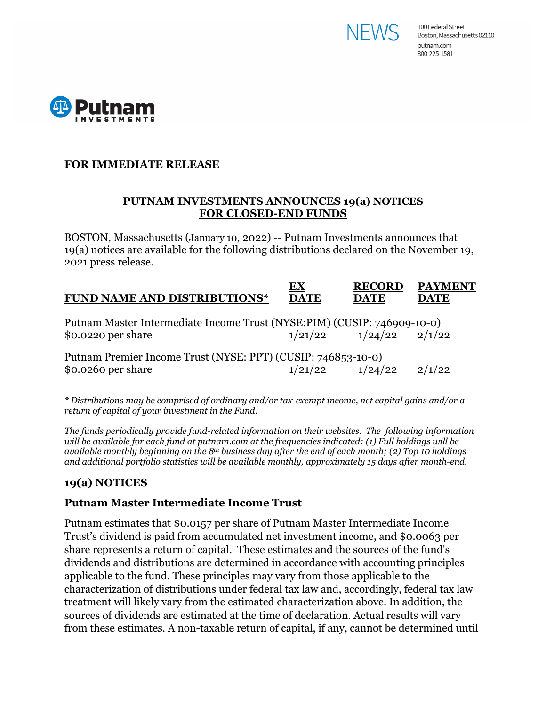



### **FOR IMMEDIATE RELEASE**

#### **PUTNAM INVESTMENTS ANNOUNCES 19(a) NOTICES FOR CLOSED-END FUNDS**

BOSTON, Massachusetts (January 10, 2022) -- Putnam Investments announces that 19(a) notices are available for the following distributions declared on the November 19, 2021 press release.

| <b>DATE</b> | <b>DATE</b> | <b>DATE</b>                                                                                                                                        |
|-------------|-------------|----------------------------------------------------------------------------------------------------------------------------------------------------|
|             |             |                                                                                                                                                    |
|             |             |                                                                                                                                                    |
|             |             | 2/1/22                                                                                                                                             |
|             | 1/21/22     | Putnam Master Intermediate Income Trust (NYSE:PIM) (CUSIP: 746909-10-0)<br>1/24/22<br>Putnam Premier Income Trust (NYSE: PPT) (CUSIP: 746853-10-0) |

*\* Distributions may be comprised of ordinary and/or tax-exempt income, net capital gains and/or a return of capital of your investment in the Fund.*

*The funds periodically provide fund-related information on their websites. The following information will be available for each fund at putnam.com at the frequencies indicated: (1) Full holdings will be available monthly beginning on the 8th business day after the end of each month; (2) Top 10 holdings and additional portfolio statistics will be available monthly, approximately 15 days after month-end.*

## **19(a) NOTICES**

#### **Putnam Master Intermediate Income Trust**

Putnam estimates that \$0.0157 per share of Putnam Master Intermediate Income Trust's dividend is paid from accumulated net investment income, and \$0.0063 per share represents a return of capital. These estimates and the sources of the fund's dividends and distributions are determined in accordance with accounting principles applicable to the fund. These principles may vary from those applicable to the characterization of distributions under federal tax law and, accordingly, federal tax law treatment will likely vary from the estimated characterization above. In addition, the sources of dividends are estimated at the time of declaration. Actual results will vary from these estimates. A non-taxable return of capital, if any, cannot be determined until